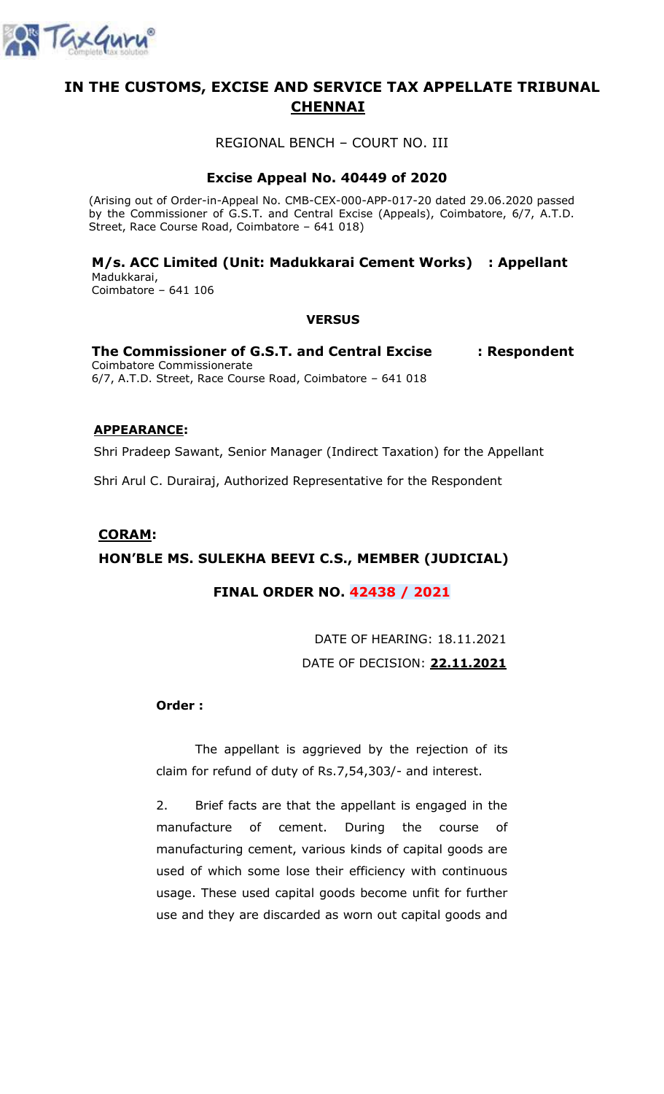

# **IN THE CUSTOMS, EXCISE AND SERVICE TAX APPELLATE TRIBUNAL CHENNAI**

REGIONAL BENCH – COURT NO. III

### **Excise Appeal No. 40449 of 2020**

(Arising out of Order-in-Appeal No. CMB-CEX-000-APP-017-20 dated 29.06.2020 passed by the Commissioner of G.S.T. and Central Excise (Appeals), Coimbatore, 6/7, A.T.D. Street, Race Course Road, Coimbatore – 641 018)

**M/s. ACC Limited (Unit: Madukkarai Cement Works) : Appellant** Madukkarai, Coimbatore – 641 106

#### **VERSUS**

**The Commissioner of G.S.T. and Central Excise** Coimbatore Commissionerate 6/7, A.T.D. Street, Race Course Road, Coimbatore – 641 018 **: Respondent**

#### **APPEARANCE:**

Shri Pradeep Sawant, Senior Manager (Indirect Taxation) for the Appellant

Shri Arul C. Durairaj, Authorized Representative for the Respondent

#### **CORAM:**

## **HON'BLE MS. SULEKHA BEEVI C.S., MEMBER (JUDICIAL)**

## **FINAL ORDER NO. 42438 / 2021**

DATE OF HEARING: 18.11.2021 DATE OF DECISION: **22.11.2021**

#### **Order :**

The appellant is aggrieved by the rejection of its claim for refund of duty of Rs.7,54,303/- and interest.

2. Brief facts are that the appellant is engaged in the manufacture of cement. During the course of manufacturing cement, various kinds of capital goods are used of which some lose their efficiency with continuous usage. These used capital goods become unfit for further use and they are discarded as worn out capital goods and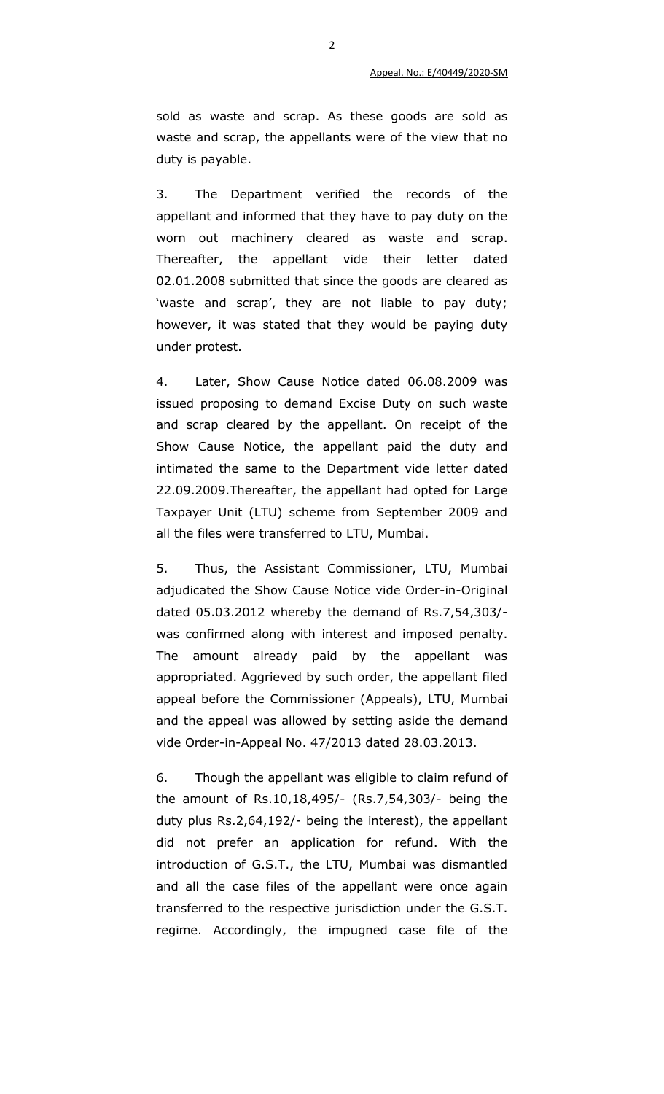sold as waste and scrap. As these goods are sold as waste and scrap, the appellants were of the view that no duty is payable.

3. The Department verified the records of the appellant and informed that they have to pay duty on the worn out machinery cleared as waste and scrap. Thereafter, the appellant vide their letter dated 02.01.2008 submitted that since the goods are cleared as 'waste and scrap', they are not liable to pay duty; however, it was stated that they would be paying duty under protest.

4. Later, Show Cause Notice dated 06.08.2009 was issued proposing to demand Excise Duty on such waste and scrap cleared by the appellant. On receipt of the Show Cause Notice, the appellant paid the duty and intimated the same to the Department vide letter dated 22.09.2009.Thereafter, the appellant had opted for Large Taxpayer Unit (LTU) scheme from September 2009 and all the files were transferred to LTU, Mumbai.

5. Thus, the Assistant Commissioner, LTU, Mumbai adjudicated the Show Cause Notice vide Order-in-Original dated 05.03.2012 whereby the demand of Rs.7,54,303/ was confirmed along with interest and imposed penalty. The amount already paid by the appellant was appropriated. Aggrieved by such order, the appellant filed appeal before the Commissioner (Appeals), LTU, Mumbai and the appeal was allowed by setting aside the demand vide Order-in-Appeal No. 47/2013 dated 28.03.2013.

6. Though the appellant was eligible to claim refund of the amount of Rs.10,18,495/- (Rs.7,54,303/- being the duty plus Rs.2,64,192/- being the interest), the appellant did not prefer an application for refund. With the introduction of G.S.T., the LTU, Mumbai was dismantled and all the case files of the appellant were once again transferred to the respective jurisdiction under the G.S.T. regime. Accordingly, the impugned case file of the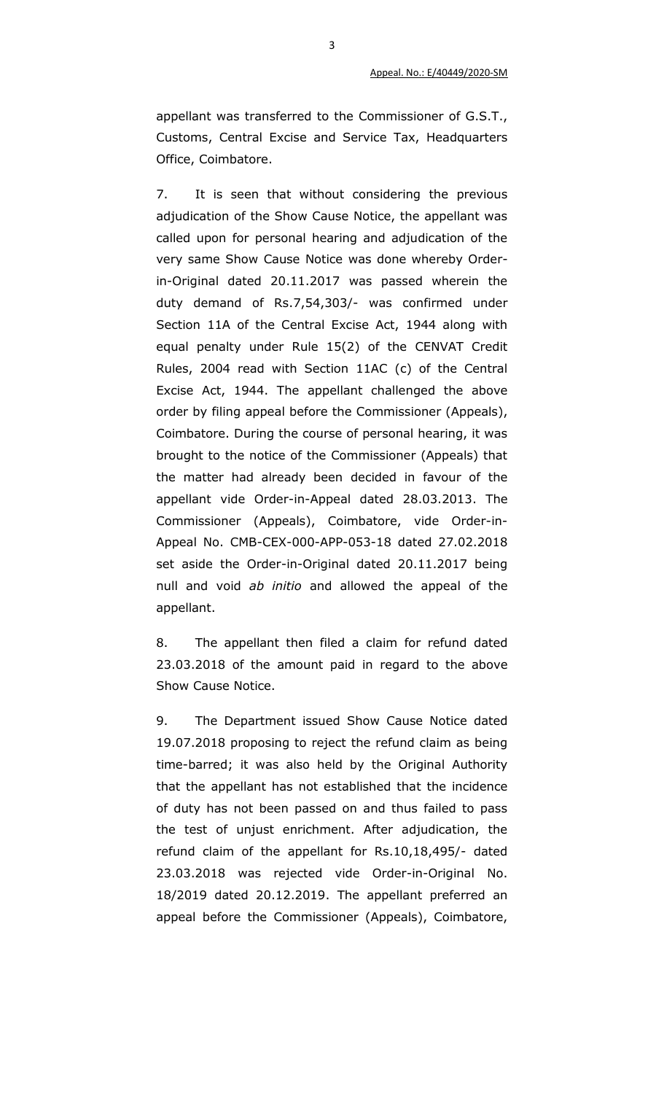appellant was transferred to the Commissioner of G.S.T., Customs, Central Excise and Service Tax, Headquarters Office, Coimbatore.

7. It is seen that without considering the previous adjudication of the Show Cause Notice, the appellant was called upon for personal hearing and adjudication of the very same Show Cause Notice was done whereby Orderin-Original dated 20.11.2017 was passed wherein the duty demand of Rs.7,54,303/- was confirmed under Section 11A of the Central Excise Act, 1944 along with equal penalty under Rule 15(2) of the CENVAT Credit Rules, 2004 read with Section 11AC (c) of the Central Excise Act, 1944. The appellant challenged the above order by filing appeal before the Commissioner (Appeals), Coimbatore. During the course of personal hearing, it was brought to the notice of the Commissioner (Appeals) that the matter had already been decided in favour of the appellant vide Order-in-Appeal dated 28.03.2013. The Commissioner (Appeals), Coimbatore, vide Order-in-Appeal No. CMB-CEX-000-APP-053-18 dated 27.02.2018 set aside the Order-in-Original dated 20.11.2017 being null and void *ab initio* and allowed the appeal of the appellant.

8. The appellant then filed a claim for refund dated 23.03.2018 of the amount paid in regard to the above Show Cause Notice.

9. The Department issued Show Cause Notice dated 19.07.2018 proposing to reject the refund claim as being time-barred; it was also held by the Original Authority that the appellant has not established that the incidence of duty has not been passed on and thus failed to pass the test of unjust enrichment. After adjudication, the refund claim of the appellant for Rs.10,18,495/- dated 23.03.2018 was rejected vide Order-in-Original No. 18/2019 dated 20.12.2019. The appellant preferred an appeal before the Commissioner (Appeals), Coimbatore,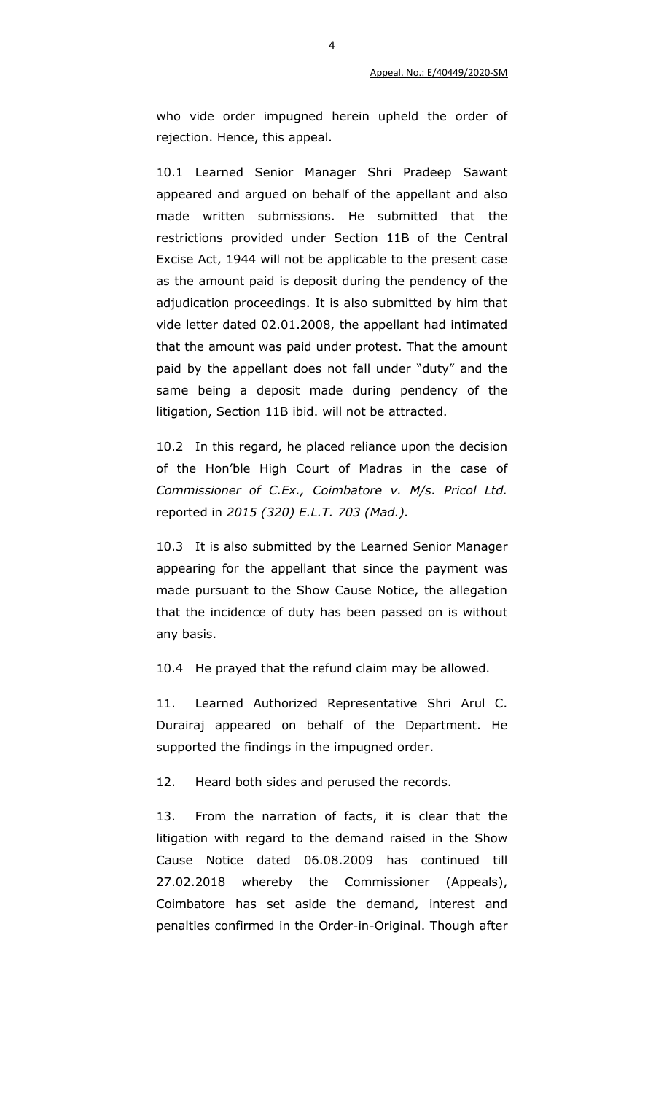who vide order impugned herein upheld the order of rejection. Hence, this appeal.

10.1 Learned Senior Manager Shri Pradeep Sawant appeared and argued on behalf of the appellant and also made written submissions. He submitted that the restrictions provided under Section 11B of the Central Excise Act, 1944 will not be applicable to the present case as the amount paid is deposit during the pendency of the adjudication proceedings. It is also submitted by him that vide letter dated 02.01.2008, the appellant had intimated that the amount was paid under protest. That the amount paid by the appellant does not fall under "duty" and the same being a deposit made during pendency of the litigation, Section 11B ibid. will not be attracted.

10.2 In this regard, he placed reliance upon the decision of the Hon'ble High Court of Madras in the case of *Commissioner of C.Ex., Coimbatore v. M/s. Pricol Ltd.*  reported in *2015 (320) E.L.T. 703 (Mad.).*

10.3 It is also submitted by the Learned Senior Manager appearing for the appellant that since the payment was made pursuant to the Show Cause Notice, the allegation that the incidence of duty has been passed on is without any basis.

10.4 He prayed that the refund claim may be allowed.

11. Learned Authorized Representative Shri Arul C. Durairaj appeared on behalf of the Department. He supported the findings in the impugned order.

12. Heard both sides and perused the records.

13. From the narration of facts, it is clear that the litigation with regard to the demand raised in the Show Cause Notice dated 06.08.2009 has continued till 27.02.2018 whereby the Commissioner (Appeals), Coimbatore has set aside the demand, interest and penalties confirmed in the Order-in-Original. Though after